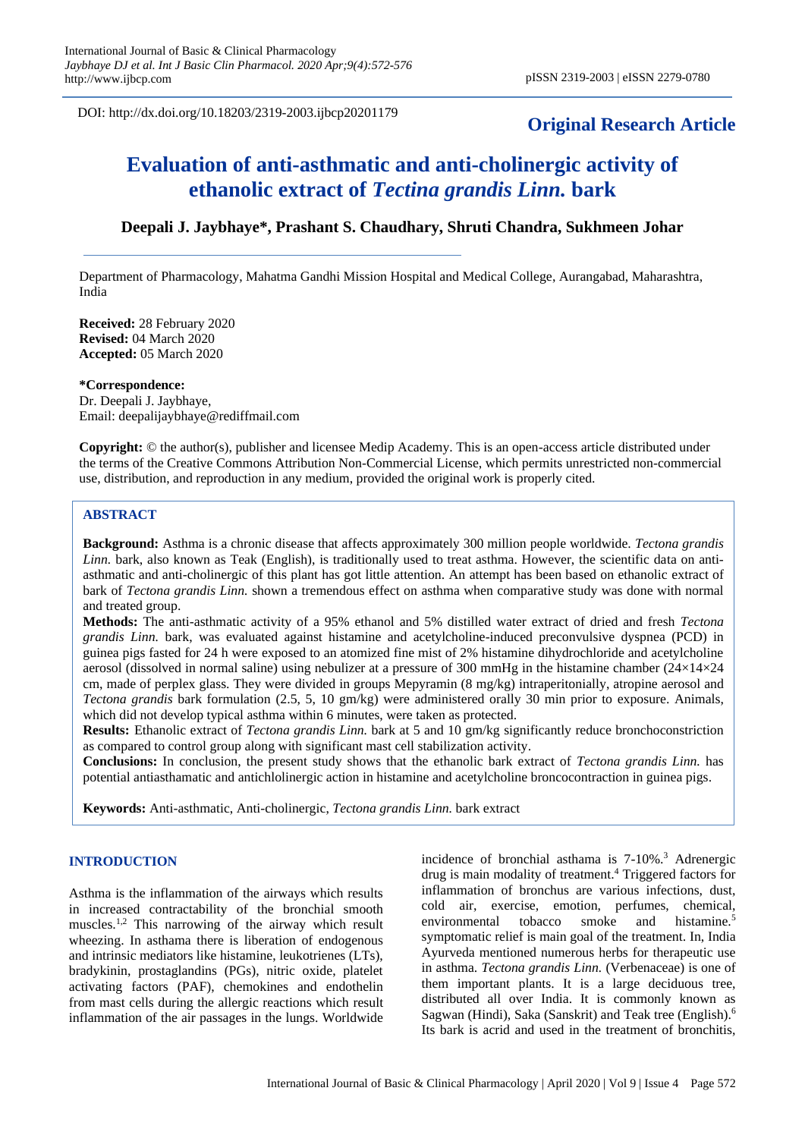DOI: http://dx.doi.org/10.18203/2319-2003.ijbcp20201179

## **Original Research Article**

# **Evaluation of anti-asthmatic and anti-cholinergic activity of ethanolic extract of** *Tectina grandis Linn.* **bark**

## **Deepali J. Jaybhaye\*, Prashant S. Chaudhary, Shruti Chandra, Sukhmeen Johar**

Department of Pharmacology, Mahatma Gandhi Mission Hospital and Medical College, Aurangabad, Maharashtra, India

**Received:** 28 February 2020 **Revised:** 04 March 2020 **Accepted:** 05 March 2020

**\*Correspondence:** Dr. Deepali J. Jaybhaye, Email: deepalijaybhaye@rediffmail.com

**Copyright:** © the author(s), publisher and licensee Medip Academy. This is an open-access article distributed under the terms of the Creative Commons Attribution Non-Commercial License, which permits unrestricted non-commercial use, distribution, and reproduction in any medium, provided the original work is properly cited.

## **ABSTRACT**

**Background:** Asthma is a chronic disease that affects approximately 300 million people worldwide. *Tectona grandis Linn.* bark, also known as Teak (English), is traditionally used to treat asthma. However, the scientific data on antiasthmatic and anti-cholinergic of this plant has got little attention. An attempt has been based on ethanolic extract of bark of *Tectona grandis Linn.* shown a tremendous effect on asthma when comparative study was done with normal and treated group.

**Methods:** The anti-asthmatic activity of a 95% ethanol and 5% distilled water extract of dried and fresh *Tectona grandis Linn.* bark, was evaluated against histamine and acetylcholine-induced preconvulsive dyspnea (PCD) in guinea pigs fasted for 24 h were exposed to an atomized fine mist of 2% histamine dihydrochloride and acetylcholine aerosol (dissolved in normal saline) using nebulizer at a pressure of 300 mmHg in the histamine chamber  $(24\times14\times24$ cm, made of perplex glass. They were divided in groups Mepyramin (8 mg/kg) intraperitonially, atropine aerosol and *Tectona grandis* bark formulation (2.5, 5, 10 gm/kg) were administered orally 30 min prior to exposure. Animals, which did not develop typical asthma within 6 minutes, were taken as protected.

**Results:** Ethanolic extract of *Tectona grandis Linn.* bark at 5 and 10 gm/kg significantly reduce bronchoconstriction as compared to control group along with significant mast cell stabilization activity.

**Conclusions:** In conclusion, the present study shows that the ethanolic bark extract of *Tectona grandis Linn.* has potential antiasthamatic and antichlolinergic action in histamine and acetylcholine broncocontraction in guinea pigs.

**Keywords:** Anti-asthmatic, Anti-cholinergic, *Tectona grandis Linn.* bark extract

#### **INTRODUCTION**

Asthma is the inflammation of the airways which results in increased contractability of the bronchial smooth muscles.1,2 This narrowing of the airway which result wheezing. In asthama there is liberation of endogenous and intrinsic mediators like histamine, leukotrienes (LTs), bradykinin, prostaglandins (PGs), nitric oxide, platelet activating factors (PAF), chemokines and endothelin from mast cells during the allergic reactions which result inflammation of the air passages in the lungs. Worldwide incidence of bronchial asthama is 7-10%.<sup>3</sup> Adrenergic drug is main modality of treatment.<sup>4</sup> Triggered factors for inflammation of bronchus are various infections, dust, cold air, exercise, emotion, perfumes, chemical, environmental tobacco smoke and histamine.<sup>5</sup> symptomatic relief is main goal of the treatment. In, India Ayurveda mentioned numerous herbs for therapeutic use in asthma. *Tectona grandis Linn.* (Verbenaceae) is one of them important plants. It is a large deciduous tree, distributed all over India. It is commonly known as Sagwan (Hindi), Saka (Sanskrit) and Teak tree (English).<sup>6</sup> Its bark is acrid and used in the treatment of bronchitis,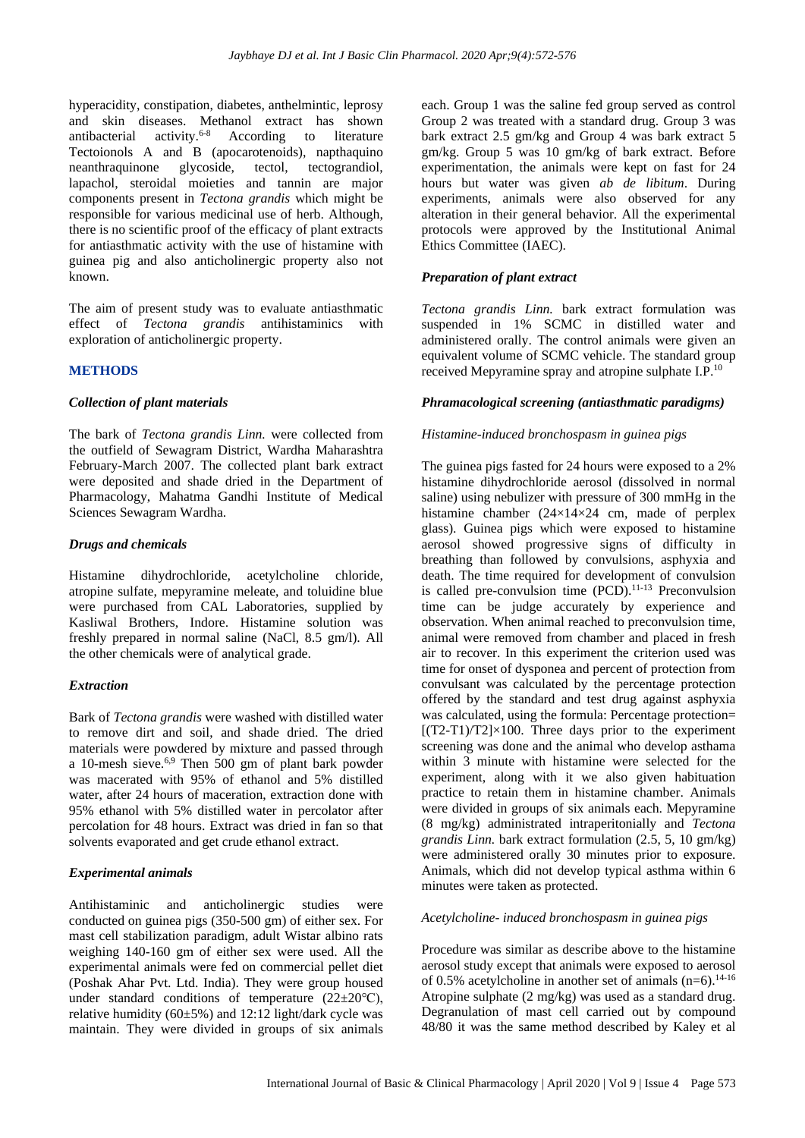hyperacidity, constipation, diabetes, anthelmintic, leprosy and skin diseases. Methanol extract has shown antibacterial activity.6-8 According to literature Tectoionols A and B (apocarotenoids), napthaquino neanthraquinone glycoside, tectol, tectograndiol, lapachol, steroidal moieties and tannin are major components present in *Tectona grandis* which might be responsible for various medicinal use of herb. Although, there is no scientific proof of the efficacy of plant extracts for antiasthmatic activity with the use of histamine with guinea pig and also anticholinergic property also not known.

The aim of present study was to evaluate antiasthmatic effect of *Tectona grandis* antihistaminics with exploration of anticholinergic property.

## **METHODS**

#### *Collection of plant materials*

The bark of *Tectona grandis Linn.* were collected from the outfield of Sewagram District, Wardha Maharashtra February-March 2007. The collected plant bark extract were deposited and shade dried in the Department of Pharmacology, Mahatma Gandhi Institute of Medical Sciences Sewagram Wardha.

#### *Drugs and chemicals*

Histamine dihydrochloride, acetylcholine chloride, atropine sulfate, mepyramine meleate, and toluidine blue were purchased from CAL Laboratories, supplied by Kasliwal Brothers, Indore. Histamine solution was freshly prepared in normal saline (NaCl, 8.5 gm/l). All the other chemicals were of analytical grade.

#### *Extraction*

Bark of *Tectona grandis* were washed with distilled water to remove dirt and soil, and shade dried. The dried materials were powdered by mixture and passed through a 10-mesh sieve.6,9 Then 500 gm of plant bark powder was macerated with 95% of ethanol and 5% distilled water, after 24 hours of maceration, extraction done with 95% ethanol with 5% distilled water in percolator after percolation for 48 hours. Extract was dried in fan so that solvents evaporated and get crude ethanol extract.

#### *Experimental animals*

Antihistaminic and anticholinergic studies were conducted on guinea pigs (350-500 gm) of either sex. For mast cell stabilization paradigm, adult Wistar albino rats weighing 140-160 gm of either sex were used. All the experimental animals were fed on commercial pellet diet (Poshak Ahar Pvt. Ltd. India). They were group housed under standard conditions of temperature  $(22\pm 20^{\circ}C)$ , relative humidity ( $60\pm5\%$ ) and 12:12 light/dark cycle was maintain. They were divided in groups of six animals each. Group 1 was the saline fed group served as control Group 2 was treated with a standard drug. Group 3 was bark extract 2.5 gm/kg and Group 4 was bark extract 5 gm/kg. Group 5 was 10 gm/kg of bark extract. Before experimentation, the animals were kept on fast for 24 hours but water was given *ab de libitum*. During experiments, animals were also observed for any alteration in their general behavior. All the experimental protocols were approved by the Institutional Animal Ethics Committee (IAEC).

## *Preparation of plant extract*

*Tectona grandis Linn.* bark extract formulation was suspended in 1% SCMC in distilled water and administered orally. The control animals were given an equivalent volume of SCMC vehicle. The standard group received Mepyramine spray and atropine sulphate I.P.<sup>10</sup>

#### *Phramacological screening (antiasthmatic paradigms)*

#### *Histamine-induced bronchospasm in guinea pigs*

The guinea pigs fasted for 24 hours were exposed to a 2% histamine dihydrochloride aerosol (dissolved in normal saline) using nebulizer with pressure of 300 mmHg in the histamine chamber (24×14×24 cm, made of perplex glass). Guinea pigs which were exposed to histamine aerosol showed progressive signs of difficulty in breathing than followed by convulsions, asphyxia and death. The time required for development of convulsion is called pre-convulsion time  $(PCD)$ .<sup>11-13</sup> Preconvulsion time can be judge accurately by experience and observation. When animal reached to preconvulsion time, animal were removed from chamber and placed in fresh air to recover. In this experiment the criterion used was time for onset of dysponea and percent of protection from convulsant was calculated by the percentage protection offered by the standard and test drug against asphyxia was calculated, using the formula: Percentage protection=  $[(T2-T1)/T2] \times 100$ . Three days prior to the experiment screening was done and the animal who develop asthama within 3 minute with histamine were selected for the experiment, along with it we also given habituation practice to retain them in histamine chamber. Animals were divided in groups of six animals each. Mepyramine (8 mg/kg) administrated intraperitonially and *Tectona grandis Linn.* bark extract formulation (2.5, 5, 10 gm/kg) were administered orally 30 minutes prior to exposure. Animals, which did not develop typical asthma within 6 minutes were taken as protected.

#### *Acetylcholine- induced bronchospasm in guinea pigs*

Procedure was similar as describe above to the histamine aerosol study except that animals were exposed to aerosol of 0.5% acetylcholine in another set of animals  $(n=6)$ .<sup>14-16</sup> Atropine sulphate (2 mg/kg) was used as a standard drug. Degranulation of mast cell carried out by compound 48/80 it was the same method described by Kaley et al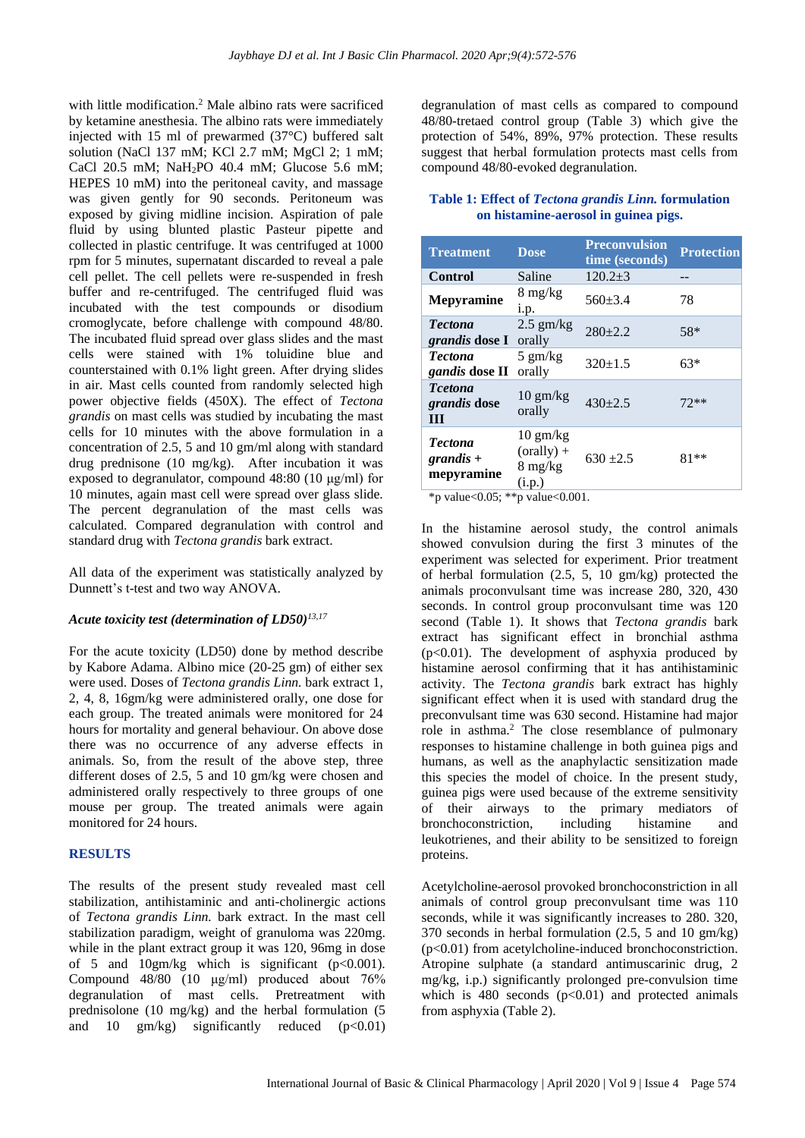with little modification. <sup>2</sup> Male albino rats were sacrificed by ketamine anesthesia. The albino rats were immediately injected with 15 ml of prewarmed (37°C) buffered salt solution (NaCl 137 mM; KCl 2.7 mM; MgCl 2; 1 mM; CaCl 20.5 mM; NaH2PO 40.4 mM; Glucose 5.6 mM; HEPES 10 mM) into the peritoneal cavity, and massage was given gently for 90 seconds. Peritoneum was exposed by giving midline incision. Aspiration of pale fluid by using blunted plastic Pasteur pipette and collected in plastic centrifuge. It was centrifuged at 1000 rpm for 5 minutes, supernatant discarded to reveal a pale cell pellet. The cell pellets were re-suspended in fresh buffer and re-centrifuged. The centrifuged fluid was incubated with the test compounds or disodium cromoglycate, before challenge with compound 48/80. The incubated fluid spread over glass slides and the mast cells were stained with 1% toluidine blue and counterstained with 0.1% light green. After drying slides in air. Mast cells counted from randomly selected high power objective fields (450X). The effect of *Tectona grandis* on mast cells was studied by incubating the mast cells for 10 minutes with the above formulation in a concentration of 2.5, 5 and 10 gm/ml along with standard drug prednisone (10 mg/kg). After incubation it was exposed to degranulator, compound 48:80 (10 μg/ml) for 10 minutes, again mast cell were spread over glass slide. The percent degranulation of the mast cells was calculated. Compared degranulation with control and standard drug with *Tectona grandis* bark extract.

All data of the experiment was statistically analyzed by Dunnett's t-test and two way ANOVA.

## *Acute toxicity test (determination of LD50) 13,17*

For the acute toxicity (LD50) done by method describe by Kabore Adama. Albino mice (20-25 gm) of either sex were used. Doses of *Tectona grandis Linn.* bark extract 1, 2, 4, 8, 16gm/kg were administered orally, one dose for each group. The treated animals were monitored for 24 hours for mortality and general behaviour. On above dose there was no occurrence of any adverse effects in animals. So, from the result of the above step, three different doses of 2.5, 5 and 10 gm/kg were chosen and administered orally respectively to three groups of one mouse per group. The treated animals were again monitored for 24 hours.

#### **RESULTS**

The results of the present study revealed mast cell stabilization, antihistaminic and anti-cholinergic actions of *Tectona grandis Linn.* bark extract. In the mast cell stabilization paradigm, weight of granuloma was 220mg. while in the plant extract group it was 120, 96mg in dose of 5 and 10gm/kg which is significant  $(p<0.001)$ . Compound 48/80 (10 μg/ml) produced about 76% degranulation of mast cells. Pretreatment with prednisolone (10 mg/kg) and the herbal formulation (5 and 10  $\text{gm/kg}$  significantly reduced (p<0.01) degranulation of mast cells as compared to compound 48/80-tretaed control group (Table 3) which give the protection of 54%, 89%, 97% protection. These results suggest that herbal formulation protects mast cells from compound 48/80-evoked degranulation.

## **Table 1: Effect of** *Tectona grandis Linn.* **formulation on histamine-aerosol in guinea pigs.**

| <b>Treatment</b>                            | <b>Dose</b>                                                       | <b>Preconvulsion</b><br>time (seconds) | <b>Protection</b> |
|---------------------------------------------|-------------------------------------------------------------------|----------------------------------------|-------------------|
| Control                                     | Saline                                                            | $120.2+3$                              |                   |
| <b>Mepyramine</b>                           | $8 \text{ mg/kg}$<br>1.p.                                         | $560 \pm 3.4$                          | 78                |
| <b>Tectona</b><br><i>grandis</i> dose I     | $2.5$ gm/kg<br>orally                                             | $280+2.2$                              | 58*               |
| <b>Tectona</b><br>gandis dose II            | $5 \text{ gm/kg}$<br>orally                                       | $320+1.5$                              | 63*               |
| <b>T</b> cetona<br><i>grandis</i> dose<br>Ш | $10 \text{ gm/kg}$<br>orally                                      | $430+2.5$                              | $72**$            |
| <b>Tectona</b><br>grandis +<br>mepyramine   | $10 \text{ gm/kg}$<br>$(orally) +$<br>$8 \text{ mg/kg}$<br>(i.p.) | $630 + 2.5$                            | $81**$            |

\*p value< $0.05$ ; \*\*p value< $0.001$ .

In the histamine aerosol study, the control animals showed convulsion during the first 3 minutes of the experiment was selected for experiment. Prior treatment of herbal formulation (2.5, 5, 10 gm/kg) protected the animals proconvulsant time was increase 280, 320, 430 seconds. In control group proconvulsant time was 120 second (Table 1). It shows that *Tectona grandis* bark extract has significant effect in bronchial asthma (p<0.01). The development of asphyxia produced by histamine aerosol confirming that it has antihistaminic activity. The *Tectona grandis* bark extract has highly significant effect when it is used with standard drug the preconvulsant time was 630 second. Histamine had major role in asthma. <sup>2</sup> The close resemblance of pulmonary responses to histamine challenge in both guinea pigs and humans, as well as the anaphylactic sensitization made this species the model of choice. In the present study, guinea pigs were used because of the extreme sensitivity of their airways to the primary mediators of bronchoconstriction, including histamine and leukotrienes, and their ability to be sensitized to foreign proteins.

Acetylcholine-aerosol provoked bronchoconstriction in all animals of control group preconvulsant time was 110 seconds, while it was significantly increases to 280. 320, 370 seconds in herbal formulation (2.5, 5 and 10 gm/kg)  $(p<0.01)$  from acetylcholine-induced bronchoconstriction. Atropine sulphate (a standard antimuscarinic drug, 2 mg/kg, i.p.) significantly prolonged pre-convulsion time which is 480 seconds  $(p<0.01)$  and protected animals from asphyxia (Table 2).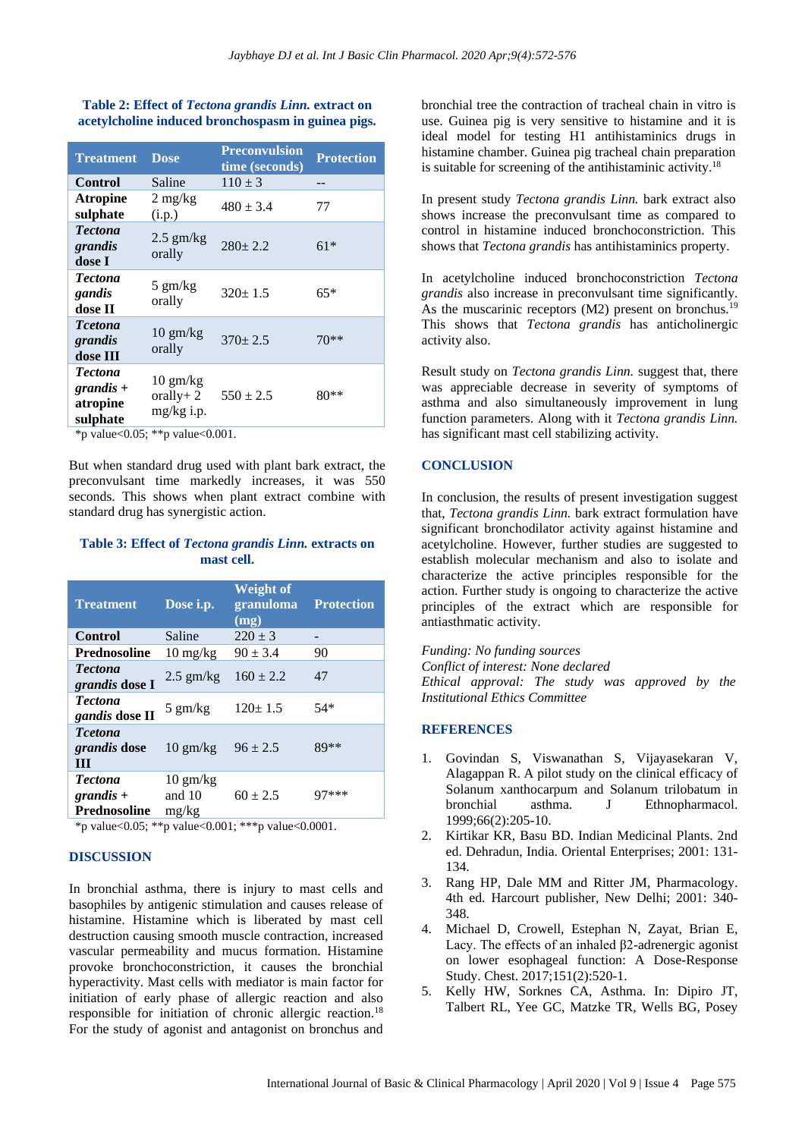## **Table 2: Effect of** *Tectona grandis Linn.* **extract on acetylcholine induced bronchospasm in guinea pigs.**

| <b>Treatment</b>                                      | <b>Dose</b>                                        | <b>Preconvulsion</b><br>time (seconds) | <b>Protection</b> |
|-------------------------------------------------------|----------------------------------------------------|----------------------------------------|-------------------|
| <b>Control</b>                                        | Saline                                             | $110 \pm 3$                            |                   |
| <b>Atropine</b><br>sulphate                           | $2 \text{ mg/kg}$<br>(i.p.)                        | $480 \pm 3.4$                          | 77                |
| <b>Tectona</b><br>grandis<br>dose I                   | $2.5$ gm/kg<br>orally                              | $280+2.2$                              | $61*$             |
| <b>Tectona</b><br>gandis<br>dose II                   | $5 \text{ gm/kg}$<br>orally                        | $320 \pm 1.5$                          | $65*$             |
| <b>T</b> cetona<br>grandis<br>dose III                | $10 \text{ gm/kg}$<br>orally                       | $370 \pm 2.5$                          | $70**$            |
| <b>Tectona</b><br>$grandis +$<br>atropine<br>sulphate | $10 \text{ gm/kg}$<br>orally + $2$<br>$mg/kg$ i.p. | $550 \pm 2.5$                          | $80**$            |

\*p value<0.05; \*\*p value<0.001.

But when standard drug used with plant bark extract, the preconvulsant time markedly increases, it was 550 seconds. This shows when plant extract combine with standard drug has synergistic action.

## **Table 3: Effect of** *Tectona grandis Linn.* **extracts on mast cell.**

| <b>Treatment</b>                                     | Dose i.p.                             | Weight of<br>granuloma<br>(mg) | <b>Protection</b> |
|------------------------------------------------------|---------------------------------------|--------------------------------|-------------------|
| <b>Control</b>                                       | Saline                                | $220 \pm 3$                    | -                 |
| <b>Prednosoline</b>                                  | $10 \frac{\text{mg}}{\text{kg}}$      | $90 \pm 3.4$                   | 90                |
| <b>Tectona</b><br><i>grandis</i> dose I              | $2.5$ gm/kg                           | $160 \pm 2.2$                  | 47                |
| <b>Tectona</b><br>gandis dose II                     | $5 \text{ gm/kg}$                     | $120 \pm 1.5$                  | $54*$             |
| <b>T</b> cetona<br>grandis dose<br>Ш                 | $10 \text{ gm/kg}$                    | $96 \pm 2.5$                   | 89**              |
| <b>Tectona</b><br>$grandis +$<br><b>Prednosoline</b> | $10 \text{ gm/kg}$<br>and 10<br>mg/kg | $60 \pm 2.5$                   | 97***             |

\*p value<0.05; \*\*p value<0.001; \*\*\*p value<0.0001.

## **DISCUSSION**

In bronchial asthma, there is injury to mast cells and basophiles by antigenic stimulation and causes release of histamine. Histamine which is liberated by mast cell destruction causing smooth muscle contraction, increased vascular permeability and mucus formation. Histamine provoke bronchoconstriction, it causes the bronchial hyperactivity. Mast cells with mediator is main factor for initiation of early phase of allergic reaction and also responsible for initiation of chronic allergic reaction.<sup>18</sup> For the study of agonist and antagonist on bronchus and bronchial tree the contraction of tracheal chain in vitro is use. Guinea pig is very sensitive to histamine and it is ideal model for testing H1 antihistaminics drugs in histamine chamber. Guinea pig tracheal chain preparation is suitable for screening of the antihistaminic activity.<sup>18</sup>

In present study *Tectona grandis Linn.* bark extract also shows increase the preconvulsant time as compared to control in histamine induced bronchoconstriction. This shows that *Tectona grandis* has antihistaminics property.

In acetylcholine induced bronchoconstriction *Tectona grandis* also increase in preconvulsant time significantly. As the muscarinic receptors  $(M2)$  present on bronchus.<sup>19</sup> This shows that *Tectona grandis* has anticholinergic activity also.

Result study on *Tectona grandis Linn.* suggest that, there was appreciable decrease in severity of symptoms of asthma and also simultaneously improvement in lung function parameters. Along with it *Tectona grandis Linn.* has significant mast cell stabilizing activity.

## **CONCLUSION**

In conclusion, the results of present investigation suggest that, *Tectona grandis Linn.* bark extract formulation have significant bronchodilator activity against histamine and acetylcholine. However, further studies are suggested to establish molecular mechanism and also to isolate and characterize the active principles responsible for the action. Further study is ongoing to characterize the active principles of the extract which are responsible for antiasthmatic activity.

*Funding: No funding sources Conflict of interest: None declared Ethical approval: The study was approved by the Institutional Ethics Committee*

#### **REFERENCES**

- 1. Govindan S, Viswanathan S, Vijayasekaran V, Alagappan R. A pilot study on the clinical efficacy of Solanum xanthocarpum and Solanum trilobatum in bronchial asthma. J Ethnopharmacol. 1999;66(2):205-10.
- 2. Kirtikar KR, Basu BD. Indian Medicinal Plants. 2nd ed. Dehradun, India. Oriental Enterprises; 2001: 131- 134.
- 3. Rang HP, Dale MM and Ritter JM, Pharmacology. 4th ed. Harcourt publisher, New Delhi; 2001: 340- 348.
- 4. Michael D, Crowell, Estephan N, Zayat, Brian E, Lacy. The effects of an inhaled β2-adrenergic agonist on lower esophageal function: A Dose-Response Study. Chest. 2017;151(2):520-1.
- 5. Kelly HW, Sorknes CA, Asthma. In: Dipiro JT, Talbert RL, Yee GC, Matzke TR, Wells BG, Posey